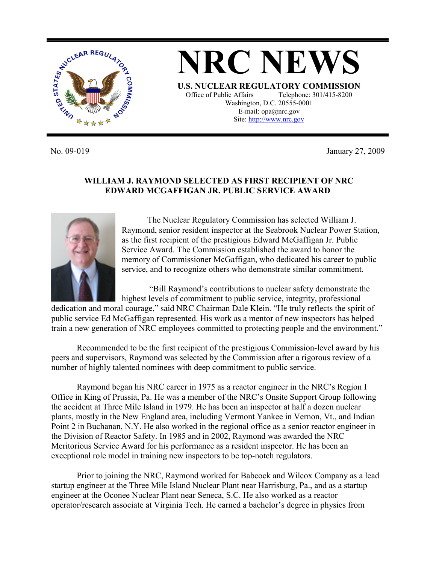

**NRC NEWS U.S. NUCLEAR REGULATORY COMMISSION** Office of Public Affairs Telephone: 301/415-8200 Washington, D.C. 20555-0001 E-mail: opa@nrc.gov Site: http://www.nrc.gov

No. 09-019 January 27, 2009

## **WILLIAM J. RAYMOND SELECTED AS FIRST RECIPIENT OF NRC EDWARD MCGAFFIGAN JR. PUBLIC SERVICE AWARD**



 The Nuclear Regulatory Commission has selected William J. Raymond, senior resident inspector at the Seabrook Nuclear Power Station, as the first recipient of the prestigious Edward McGaffigan Jr. Public Service Award. The Commission established the award to honor the memory of Commissioner McGaffigan, who dedicated his career to public service, and to recognize others who demonstrate similar commitment.

 "Bill Raymond's contributions to nuclear safety demonstrate the highest levels of commitment to public service, integrity, professional

dedication and moral courage," said NRC Chairman Dale Klein. "He truly reflects the spirit of public service Ed McGaffigan represented. His work as a mentor of new inspectors has helped train a new generation of NRC employees committed to protecting people and the environment."

 Recommended to be the first recipient of the prestigious Commission-level award by his peers and supervisors, Raymond was selected by the Commission after a rigorous review of a number of highly talented nominees with deep commitment to public service.

Raymond began his NRC career in 1975 as a reactor engineer in the NRC's Region I Office in King of Prussia, Pa. He was a member of the NRC's Onsite Support Group following the accident at Three Mile Island in 1979. He has been an inspector at half a dozen nuclear plants, mostly in the New England area, including Vermont Yankee in Vernon, Vt., and Indian Point 2 in Buchanan, N.Y. He also worked in the regional office as a senior reactor engineer in the Division of Reactor Safety. In 1985 and in 2002, Raymond was awarded the NRC Meritorious Service Award for his performance as a resident inspector. He has been an exceptional role model in training new inspectors to be top-notch regulators.

 Prior to joining the NRC, Raymond worked for Babcock and Wilcox Company as a lead startup engineer at the Three Mile Island Nuclear Plant near Harrisburg, Pa., and as a startup engineer at the Oconee Nuclear Plant near Seneca, S.C. He also worked as a reactor operator/research associate at Virginia Tech. He earned a bachelor's degree in physics from